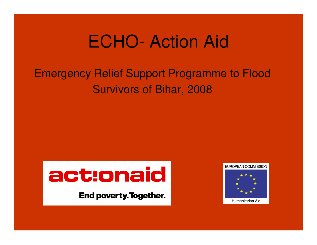## ECHO- Action Aid

#### Emergency Relief Support Programme to FloodSurvivors of Bihar, 2008



**End poverty. Together.** 

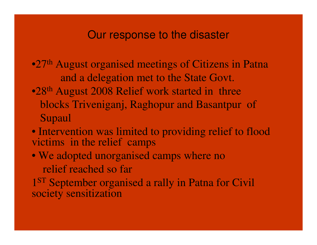#### Our response to the disaster

- •27th August organised meetings of Citizens in Patnaand a delegation met to the State Govt.
- •28<sup>th</sup> August 2008 Relief work started in three blocks Triveniganj, Raghopur and Basantpur of Supaul
- Intervention was limited to providing relief to flood victims in the relief camps
- We adopted unorganised camps where no relief reached so far

1<sup>ST</sup> September organised a rally in Patna for Civil society sensitization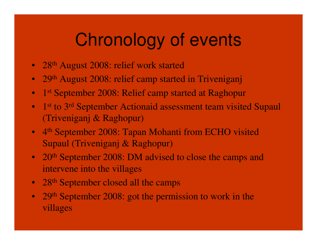# Chronology of events

- 28<sup>th</sup> August 2008: relief work started
- 29<sup>th</sup> August 2008: relief camp started in Triveniganj
- 1<sup>st</sup> September 2008: Relief camp started at Raghopur
- 1<sup>st</sup> to 3<sup>rd</sup> September Actionaid assessment team visited Supaul (Triveniganj & Raghopur)
- 4<sup>th</sup> September 2008: Tapan Mohanti from ECHO visited Supaul (Triveniganj & Raghopur)
- 20<sup>th</sup> September 2008: DM advised to close the camps and intervene into the villages
- 28<sup>th</sup> September closed all the camps
- 29<sup>th</sup> September 2008: got the permission to work in the villages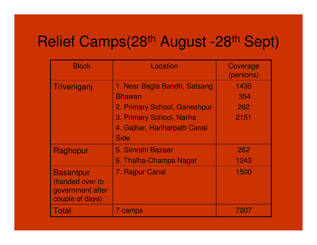### Relief Camps(28<sup>th</sup> August -28<sup>th</sup> Sept)

| <b>Block</b>                                                               | Location                      | Coverage<br>(persons) |
|----------------------------------------------------------------------------|-------------------------------|-----------------------|
| Triveniganj                                                                | 1. Near Bagla Bandh, Satsang  | 1435                  |
|                                                                            | <b>Bhawan</b>                 | 354                   |
|                                                                            | 2. Primary School, Ganeshpur  | 262                   |
|                                                                            | 3. Primary School, Narha      | 2151                  |
|                                                                            | 4. Gajhar, Hariharpatti Canal |                       |
|                                                                            | <b>Side</b>                   |                       |
| Raghopur                                                                   | 5. Simrahi Bazaar             | 262                   |
|                                                                            | 6. Thalha-Champa Nagar        | 1243                  |
| <b>Basantpur</b><br>(handed over to<br>government after<br>couple of days) | 7. Rajpur Canal               | 1500                  |
| Total                                                                      | 7 camps                       | 7207                  |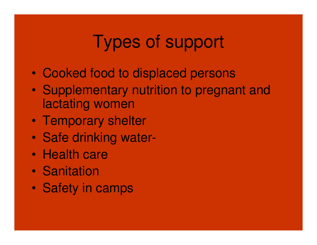# Types of support

- $\bullet$ Cooked food to displaced persons
- $\bullet$  Supplementary nutrition to pregnant and lactating women
- $\bullet$ Temporary shelter
- $\bullet$ Safe drinking water-
- $\bullet$ Health care
- $\bullet$ **Sanitation**
- $\bullet$ Safety in camps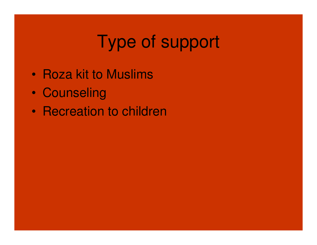# Type of support

- $\bullet$ Roza kit to Muslims
- $\bullet$ **Counseling**
- $\bullet$ Recreation to children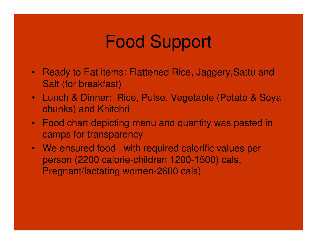# Food Support

- Ready to Eat items: Flattened Rice, Jaggery,Sattu and Salt (for breakfast)
- Lunch & Dinner: Rice, Pulse, Vegetable (Potato & Soya chunks) and Khitchri
- Food chart depicting menu and quantity was pasted in camps for transparency
- We ensured food with required calorific values per person (2200 calorie-children 1200-1500) cals, Pregnant/lactating women-2600 cals)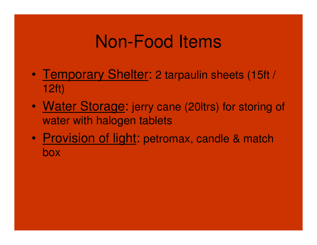## Non-Food Items

- $\bullet$ Temporary Shelter: 2 tarpaulin sheets (15ft / 12ft)
- $\bullet$ Water Storage: jerry cane (20ltrs) for storing of water with halogen tablets
- $\bullet$ Provision of light: petromax, candle & match box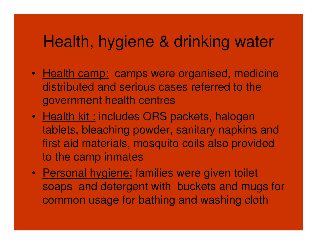#### Health, hygiene & drinking water

- Health camp: camps were organised, medicine distributed and serious cases referred to the government health centres
- Health kit : includes ORS packets, halogen tablets, bleaching powder, sanitary napkins and first aid materials, mosquito coils also provided to the camp inmates
- Personal hygiene: families were given toilet soaps and detergent with buckets and mugs for common usage for bathing and washing cloth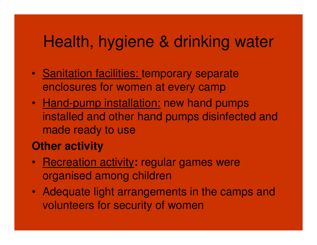#### Health, hygiene & drinking water

- Sanitation facilities: temporary separate enclosures for women at every camp
- <u>Hand-pump installation:</u> new hand pumps installed and other hand pumps disinfected and made ready to use

#### **Other activity**

- Recreation activity**:** regular games were organised among children
- Adequate light arrangements in the camps and volunteers for security of women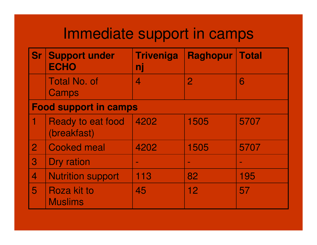#### Immediate support in camps

| <b>Sr</b>                | <b>Support under</b><br><b>ECHO</b>     | <b>Triveniga</b><br>nj   | <b>Raghopur</b> | <b>Total</b> |
|--------------------------|-----------------------------------------|--------------------------|-----------------|--------------|
|                          | <b>Total No. of</b><br>Camps            | $\overline{\mathcal{A}}$ | $\overline{2}$  | 6            |
|                          | <b>Food support in camps</b>            |                          |                 |              |
|                          | <b>Ready to eat food</b><br>(breakfast) | 4202                     | 1505            | 5707         |
| $\overline{2}$           | <b>Cooked meal</b>                      | 4202                     | 1505            | 5707         |
| $\mathbf{3}$             | Dry ration                              |                          | $\sim$          |              |
| $\overline{\mathcal{A}}$ | <b>Nutrition support</b>                | 113                      | 82              | 195          |
| 5                        | <b>Roza kit to</b><br><b>Muslims</b>    | 45                       | 12              | 57           |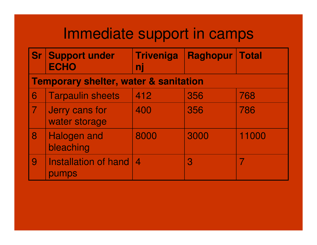#### Immediate support in camps

|                | <b>Sr Support under</b><br><b>ECHO</b>           | <b>Triveniga</b><br>nj | <b>Raghopur</b> | <b>Total</b> |
|----------------|--------------------------------------------------|------------------------|-----------------|--------------|
|                | <b>Temporary shelter, water &amp; sanitation</b> |                        |                 |              |
| 6              | <b>Tarpaulin sheets</b>                          | 412                    | 356             | 768          |
| $\overline{7}$ | Jerry cans for<br>water storage                  | 400                    | 356             | 786          |
| 8              | <b>Halogen and</b><br>bleaching                  | 8000                   | 3000            | 11000        |
| 9              | <b>Installation of hand</b><br>pumps             |                        | 3               |              |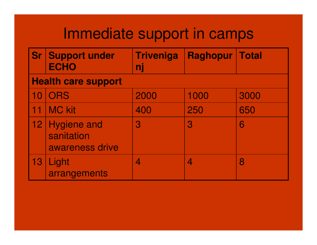#### Immediate support in camps

|                 | <b>Sr Support under</b><br><b>ECHO</b>              | <b>Triveniga</b><br>nj | <b>Raghopur</b> | <b>Total</b> |
|-----------------|-----------------------------------------------------|------------------------|-----------------|--------------|
|                 | <b>Health care support</b>                          |                        |                 |              |
| 10              | <b>ORS</b>                                          | 2000                   | 1000            | 3000         |
| 11              | <b>MC kit</b>                                       | 400                    | 250             | 650          |
| 12 <sub>1</sub> | <b>Hygiene and</b><br>sanitation<br>awareness drive | $\overline{3}$         | $\overline{3}$  | 6            |
| 13              | Light<br>arrangements                               | 4                      | 4               | 8            |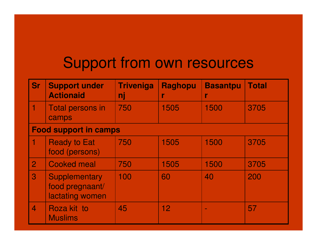#### Support from own resources

| <b>Sr</b>                | <b>Support under</b><br><b>Actionaid</b>                   | <b>Triveniga</b><br>nį | <b>Raghopu</b><br>r | <b>Basantpu</b><br>r | <b>Total</b> |
|--------------------------|------------------------------------------------------------|------------------------|---------------------|----------------------|--------------|
|                          | <b>Total persons in</b><br>camps                           | 750                    | 1505                | 1500                 | 3705         |
|                          | <b>Food support in camps</b>                               |                        |                     |                      |              |
|                          | <b>Ready to Eat</b><br>food (persons)                      | 750                    | 1505                | 1500                 | 3705         |
| $\overline{2}$           | <b>Cooked meal</b>                                         | 750                    | 1505                | 1500                 | 3705         |
| 3                        | <b>Supplementary</b><br>food pregnaant/<br>lactating women | 100                    | 60                  | 40                   | 200          |
| $\overline{\mathcal{L}}$ | Roza kit to<br><b>Muslims</b>                              | 45                     | 12                  | $\sim$               | 57           |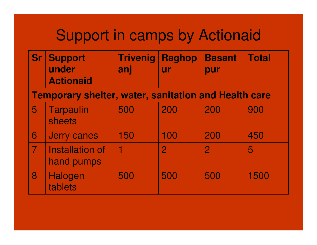### Support in camps by Actionaid

| <b>Sr</b>      | <b>Support</b><br>under<br><b>Actionaid</b>                 | <b>Trivenig</b><br>anj | <b>Raghop</b><br><b>ur</b> | <b>Basant</b><br>pur | <b>Total</b> |
|----------------|-------------------------------------------------------------|------------------------|----------------------------|----------------------|--------------|
|                | <b>Temporary shelter, water, sanitation and Health care</b> |                        |                            |                      |              |
| 5              | <b>Tarpaulin</b><br>sheets                                  | 500                    | 200                        | 200                  | 900          |
| 6              | <b>Jerry canes</b>                                          | 150                    | 100                        | 200                  | 450          |
| $\overline{7}$ | Installation of<br>hand pumps                               | 1                      | $\overline{2}$             | $\overline{2}$       | 5            |
| 8              | Halogen<br>tablets                                          | 500                    | 500                        | 500                  | 1500         |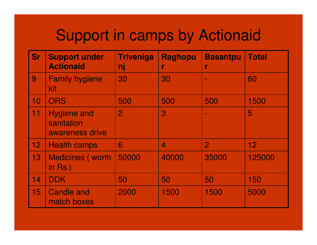### Support in camps by Actionaid

| <b>Sr</b>       | <b>Support under</b><br><b>Actionaid</b>            | <b>Triveniga</b><br>nj | <b>Raghopu</b><br>r      | <b>Basantpu</b> | <b>Total</b>    |
|-----------------|-----------------------------------------------------|------------------------|--------------------------|-----------------|-----------------|
| 9               | <b>Family hygiene</b><br>kit                        | 30                     | 30                       | $\sim$          | 60              |
| 10              | <b>ORS</b>                                          | 500                    | 500                      | 500             | 1500            |
| 11              | <b>Hygiene and</b><br>sanitation<br>awareness drive | $\overline{2}$         | 3                        |                 | 5               |
| 12 <sub>1</sub> | <b>Health camps</b>                                 | 6                      | $\overline{\mathcal{A}}$ | $\overline{2}$  | 12 <sub>2</sub> |
| 13              | <b>Medicines (worth)</b><br>in $Rs.$ )              | 50000                  | 40000                    | 35000           | 125000          |
| 14              | <b>DDK</b>                                          | 50                     | 50                       | 50              | 150             |
| 15              | <b>Candle and</b><br>match boxes                    | 2000                   | 1500                     | 1500            | 5000            |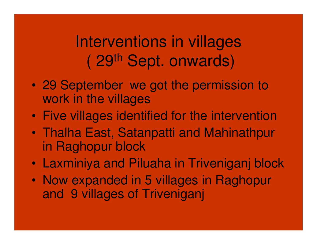## Interventions in villages( 29th Sept. onwards)

- $\bullet$  29 September we got the permission to work in the villages
- $\bullet$ Five villages identified for the intervention
- $\bullet$  Thalha East, Satanpatti and Mahinathpurin Raghopur block
- $\bullet$ Laxminiya and Piluaha in Triveniganj block
- $\bullet$  Now expanded in 5 villages in Raghopur and 9 villages of Triveniganj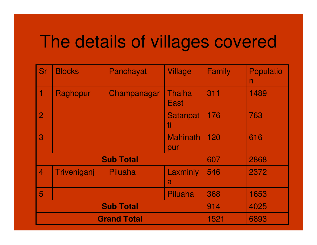# The details of villages covered

| <b>Sr</b>      | <b>Blocks</b>      | Panchayat        | <b>Village</b>         | Family | <b>Populatio</b><br>n |
|----------------|--------------------|------------------|------------------------|--------|-----------------------|
| 1              | Raghopur           | Champanagar      | Thalha<br>East         | 311    | 1489                  |
| $\overline{2}$ |                    |                  | <b>Satanpat</b><br>ti  | 176    | 763                   |
| 3              |                    |                  | <b>Mahinath</b><br>pur | 120    | 616                   |
|                |                    | <b>Sub Total</b> |                        | 607    | 2868                  |
| $\overline{4}$ | Triveniganj        | Piluaha          | Laxminiy<br>a          | 546    | 2372                  |
| 5              |                    |                  | Piluaha                | 368    | 1653                  |
|                | <b>Sub Total</b>   | 914              | 4025                   |        |                       |
|                | <b>Grand Total</b> |                  |                        |        | 6893                  |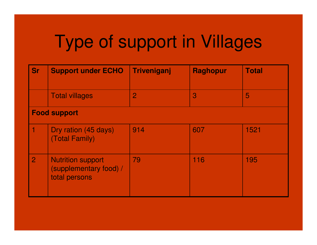# Type of support in Villages

| <b>Sr</b>      | <b>Support under ECHO</b>                                           | Triveniganj    | <b>Raghopur</b> | <b>Total</b> |
|----------------|---------------------------------------------------------------------|----------------|-----------------|--------------|
|                | <b>Total villages</b>                                               | $\overline{2}$ | 3               | 5            |
|                | <b>Food support</b>                                                 |                |                 |              |
| 1              | Dry ration (45 days)<br>(Total Family)                              | 914            | 607             | 1521         |
| $\overline{2}$ | <b>Nutrition support</b><br>(supplementary food) /<br>total persons | 79             | 116             | 195          |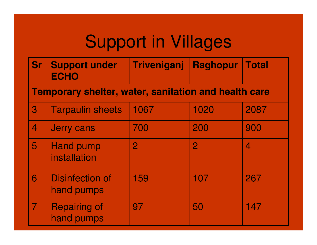# Support in Villages

| <b>Sr Support under</b> | Triveniganj Raghopur Total |  |
|-------------------------|----------------------------|--|
| <b>ECHO</b>             |                            |  |

#### **Temporary shelter, water, sanitation and health care**

| 3 | <b>Tarpaulin sheets</b>              | 1067 | 1020        | 2087 |
|---|--------------------------------------|------|-------------|------|
| 4 | <b>Jerry cans</b>                    | 700  | 200         | 900  |
| 5 | <b>Hand pump</b><br>installation     |      | $\mathbf 2$ |      |
| 6 | <b>Disinfection of</b><br>hand pumps | 159  | 107         | 267  |
|   | <b>Repairing of</b><br>hand pumps    | 97   | 50          | 147  |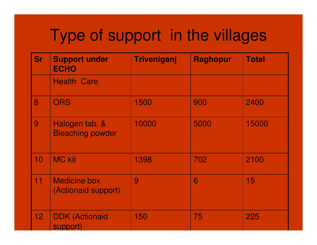## Type of support in the villages

| <b>Sr</b>       | <b>Support under</b><br><b>ECHO</b>        | <b>Triveniganj</b> | <b>Raghopur</b> | <b>Total</b> |
|-----------------|--------------------------------------------|--------------------|-----------------|--------------|
|                 | <b>Health Care</b>                         |                    |                 |              |
| 8               | <b>ORS</b>                                 | 1500               | 900             | 2400         |
| 9               | Halogen tab. &<br><b>Bleaching powder</b>  | 10000              | 5000            | 15000        |
| 10              | <b>MC kit</b>                              | 1398               | 702             | 2100         |
| 11              | <b>Medicine box</b><br>(Actionaid support) | 9                  | 6               | 15           |
| 12 <sub>2</sub> | <b>DDK (Actionaid</b><br>support)          | 150                | 75              | 225          |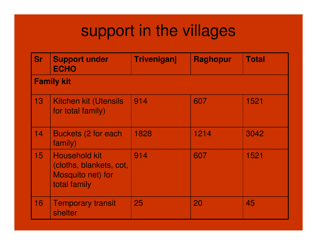## support in the villages

| <b>Sr</b>         | <b>Support under</b><br><b>ECHO</b>                                                  | Triveniganj | <b>Raghopur</b> | <b>Total</b> |  |  |
|-------------------|--------------------------------------------------------------------------------------|-------------|-----------------|--------------|--|--|
| <b>Family kit</b> |                                                                                      |             |                 |              |  |  |
| 13 <sup>°</sup>   | <b>Kitchen kit (Utensils</b><br>for total family)                                    | 914         | 607             | 1521         |  |  |
| 14                | <b>Buckets (2 for each</b><br>family)                                                | 1828        | 1214            | 3042         |  |  |
| 15 <sub>1</sub>   | <b>Household kit</b><br>(cloths, blankets, cot,<br>Mosquito net) for<br>total family | 914         | 607             | 1521         |  |  |
| 16                | <b>Temporary transit</b><br>shelter                                                  | 25          | 20              | 45           |  |  |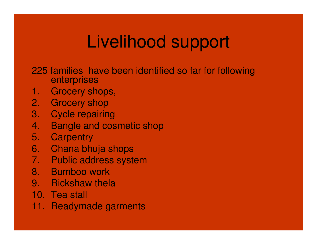# Livelihood support

- 225 families have been identified so far for following enterprises
- 1. Grocery shops,
- 2. Grocery shop
- 3. Cycle repairing
- 4. Bangle and cosmetic shop
- 5. Carpentry
- 6. Chana bhuja shops
- 7. Public address system
- 8. Bumboo work
- 9. Rickshaw thela
- 10. Tea stall
- 11. Readymade garments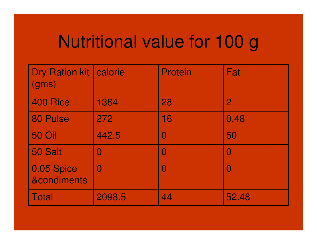# Nutritional value for 100 g

| Dry Ration kit   calorie<br>(gms)    |                | <b>Protein</b> | Fat               |
|--------------------------------------|----------------|----------------|-------------------|
| 400 Rice                             | 1384           | 28             | 2                 |
| 80 Pulse                             | 272            | 16             | 0.48              |
| <b>50 Oil</b>                        | 442.5          |                | 50                |
| 50 Salt                              | $\blacksquare$ | I              | $\mathbf{\Omega}$ |
| 0.05 Spice<br><b>&amp;condiments</b> | $\Omega$       |                | $\mathbf{\Omega}$ |
| <b>Total</b>                         | 2098.5         | 44             | 52.48             |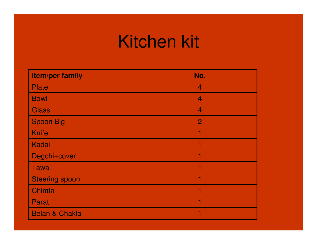# Kitchen kit

| <b>Item/per family</b>    | No.            |
|---------------------------|----------------|
| <b>Plate</b>              | $\overline{4}$ |
| <b>Bowl</b>               | $\overline{4}$ |
| <b>Glass</b>              | $\overline{4}$ |
| <b>Spoon Big</b>          | $\overline{2}$ |
| <b>Knife</b>              | 1              |
| Kadai                     | 1              |
| Degchi+cover              | 1              |
| <b>Tawa</b>               | 1              |
| <b>Steering spoon</b>     | 1              |
| Chimta                    | 1              |
| Parat                     | 1              |
| <b>Belan &amp; Chakla</b> | 1              |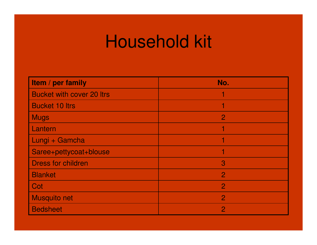# Household kit

| Item / per family                | No.            |
|----------------------------------|----------------|
| <b>Bucket with cover 20 ltrs</b> |                |
| <b>Bucket 10 ltrs</b>            |                |
| <b>Mugs</b>                      | $\overline{2}$ |
| Lantern                          |                |
| Lungi + Gamcha                   |                |
| Saree+pettycoat+blouse           | 1              |
| <b>Dress for children</b>        | $\overline{3}$ |
| <b>Blanket</b>                   | $\overline{2}$ |
| Cot                              | $\overline{2}$ |
| <b>Musquito net</b>              | $\overline{2}$ |
| <b>Bedsheet</b>                  | $\overline{2}$ |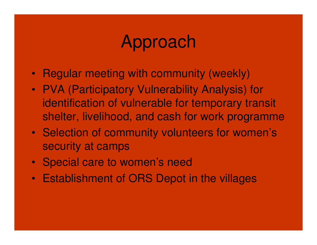## Approach

- Regular meeting with community (weekly)
- PVA (Participatory Vulnerability Analysis) for identification of vulnerable for temporary transit shelter, livelihood, and cash for work programme
- Selection of community volunteers for women's security at camps
- Special care to women's need
- Establishment of ORS Depot in the villages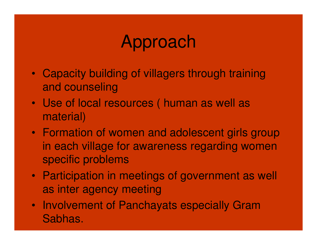# Approach

- Capacity building of villagers through training and counseling
- Use of local resources ( human as well as material)
- Formation of women and adolescent girls group in each village for awareness regarding women specific problems
- Participation in meetings of government as well as inter agency meeting
- Involvement of Panchayats especially Gram Sabhas.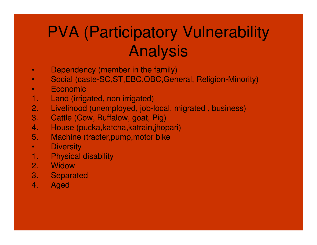# PVA (Participatory Vulnerability Analysis

- •Dependency (member in the family)
- Social (caste-SC,ST,EBC,OBC,General, Religion-Minority)•
- •Economic
- 1. Land (irrigated, non irrigated)
- 2. Livelihood (unemployed, job-local, migrated , business)
- 3. Cattle (Cow, Buffalow, goat, Pig)
- 4. House (pucka,katcha,katrain,jhopari)
- 5. Machine (tracter,pump,motor bike
- •**Diversity**
- 1. Physical disability
- 2. Widow
- 3. Separated
- 4. Aged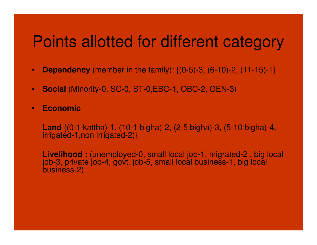#### Points allotted for different category

- •**Dependency** (member in the family): {(0-5)-3, (6-10)-2, (11-15)-1}
- $\bullet$ **Social** (Minority-0, SC-0, ST-0,EBC-1, OBC-2, GEN-3)
- •**Economic**

**Land** {(0-1 kattha)-1, (10-1 bigha)-2, (2-5 bigha)-3, (5-10 bigha)-4, irrigated-1,non irrigated-2)}

**Livelihood :** (unemployed-0, small local job-1, migrated-2 , big local job-3, private job-4, govt. job-5, small local business-1, big local business-2)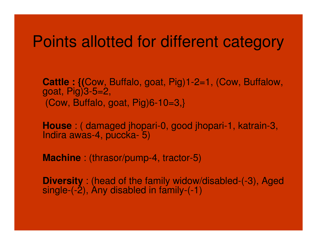#### Points allotted for different category

**Cattle : {(**Cow, Buffalo, goat, Pig)1-2=1, (Cow, Buffalow, goat, Pig)3-5=2, $(Cow, Buffalo, goat, Fig)6-10=3,$ 

**House** : ( damaged jhopari-0, good jhopari-1, katrain-3, Indira awas-4, puccka- 5)

**Machine** : (thrasor/pump-4, tractor-5)

**Diversity** : (head of the family widow/disabled-(-3), Aged also<br>ainals (3), Any disabled in family (-1) single- $(-2)$ , Any disabled in family- $(-1)$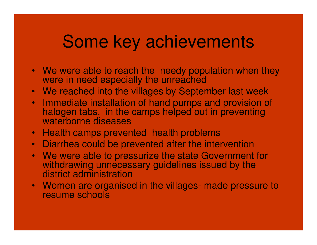## Some key achievements

- We were able to reach the needy population when they were in need especially the unreached
- We reached into the villages by September last week
- Immediate installation of hand pumps and provision of halogen tabs. in the camps helped out in preventing waterborne diseases
- Health camps prevented health problems
- Diarrhea could be prevented after the intervention
- We were able to pressurize the state Government for withdrawing unnecessary guidelines issued by the district administration
- Women are organised in the villages- made pressure to resume schools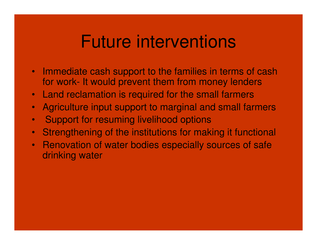## Future interventions

- Immediate cash support to the families in terms of cash for work- It would prevent them from money lenders
- $\bullet$ Land reclamation is required for the small farmers
- Agriculture input support to marginal and small farmers •
- $\bullet$ Support for resuming livelihood options
- $\bullet$ Strengthening of the institutions for making it functional
- Renovation of water bodies especially sources of safe drinking water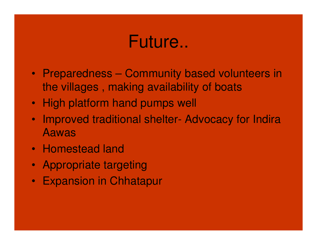## Future..

- Preparedness Community based volunteers in the villages , making availability of boats
- High platform hand pumps well
- $\bullet$  Improved traditional shelter- Advocacy for Indira Aawas
- Homestead land
- Appropriate targeting
- Expansion in Chhatapur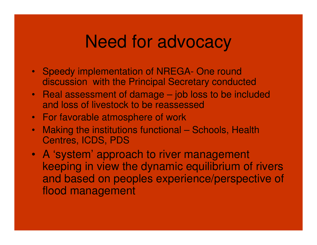#### Need for advocacy

- Speedy implementation of NREGA- One round discussion with the Principal Secretary conducted
- Real assessment of damage job loss to be includedand loss of livestock to be reassessed
- For favorable atmosphere of work
- • Making the institutions functional – Schools, Health Centres, ICDS, PDS
- A 'system' approach to river management keeping in view the dynamic equilibrium of rivers and based on peoples experience/perspective of flood management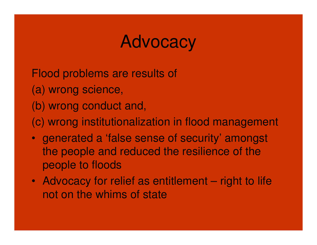## Advocacy

Flood problems are results of (a) wrong science, (b) wrong conduct and, (c) wrong institutionalization in flood management

- generated a 'false sense of security' amongst the people and reduced the resilience of the people to floods
- Advocacy for relief as entitlement right to life not on the whims of state